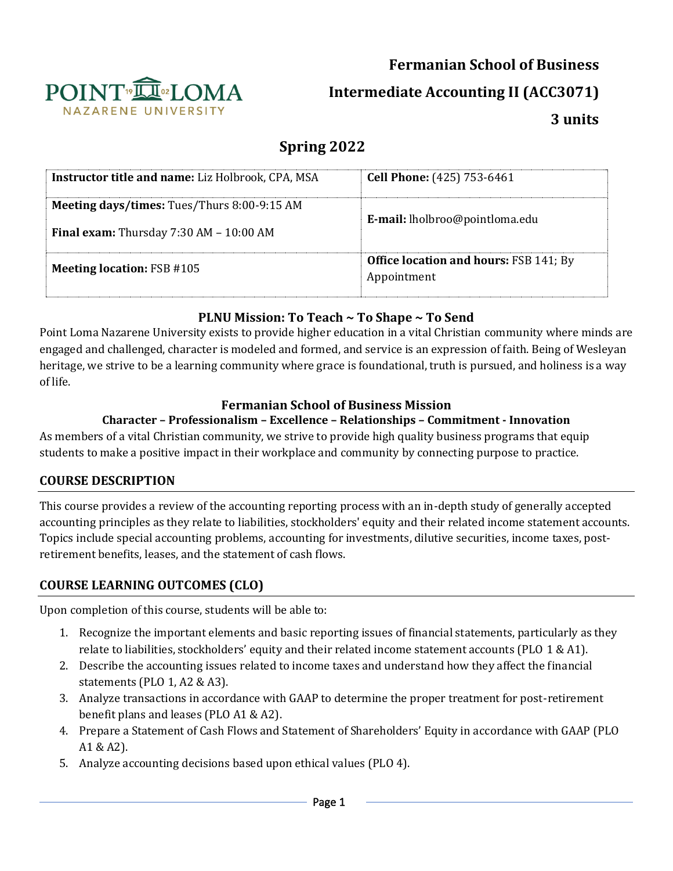# **Fermanian School of Business**



**Intermediate Accounting II (ACC3071)**

**3 units**

# **Spring 2022**

| <b>Instructor title and name:</b> Liz Holbrook, CPA, MSA                               | <b>Cell Phone:</b> (425) 753-6461                            |
|----------------------------------------------------------------------------------------|--------------------------------------------------------------|
| Meeting days/times: Tues/Thurs 8:00-9:15 AM<br>Final exam: Thursday 7:30 AM - 10:00 AM | E-mail: lholbroo@pointloma.edu                               |
| <b>Meeting location: FSB #105</b>                                                      | <b>Office location and hours: FSB 141; By</b><br>Appointment |

## **PLNU Mission: To Teach ~ To Shape ~ To Send**

Point Loma Nazarene University exists to provide higher education in a vital Christian community where minds are engaged and challenged, character is modeled and formed, and service is an expression of faith. Being of Wesleyan heritage, we strive to be a learning community where grace is foundational, truth is pursued, and holiness is a way of life.

### **Fermanian School of Business Mission**

## **Character – Professionalism – Excellence – Relationships – Commitment - Innovation**

As members of a vital Christian community, we strive to provide high quality business programs that equip students to make a positive impact in their workplace and community by connecting purpose to practice.

# **COURSE DESCRIPTION**

This course provides a review of the accounting reporting process with an in-depth study of generally accepted accounting principles as they relate to liabilities, stockholders' equity and their related income statement accounts. Topics include special accounting problems, accounting for investments, dilutive securities, income taxes, postretirement benefits, leases, and the statement of cash flows.

# **COURSE LEARNING OUTCOMES (CLO)**

Upon completion of this course, students will be able to:

- 1. Recognize the important elements and basic reporting issues of financial statements, particularly as they relate to liabilities, stockholders' equity and their related income statement accounts (PLO 1 & A1).
- 2. Describe the accounting issues related to income taxes and understand how they affect the financial statements (PLO 1, A2 & A3).
- 3. Analyze transactions in accordance with GAAP to determine the proper treatment for post-retirement benefit plans and leases (PLO A1 & A2).
- 4. Prepare a Statement of Cash Flows and Statement of Shareholders' Equity in accordance with GAAP (PLO A1 & A2).
- 5. Analyze accounting decisions based upon ethical values (PLO 4).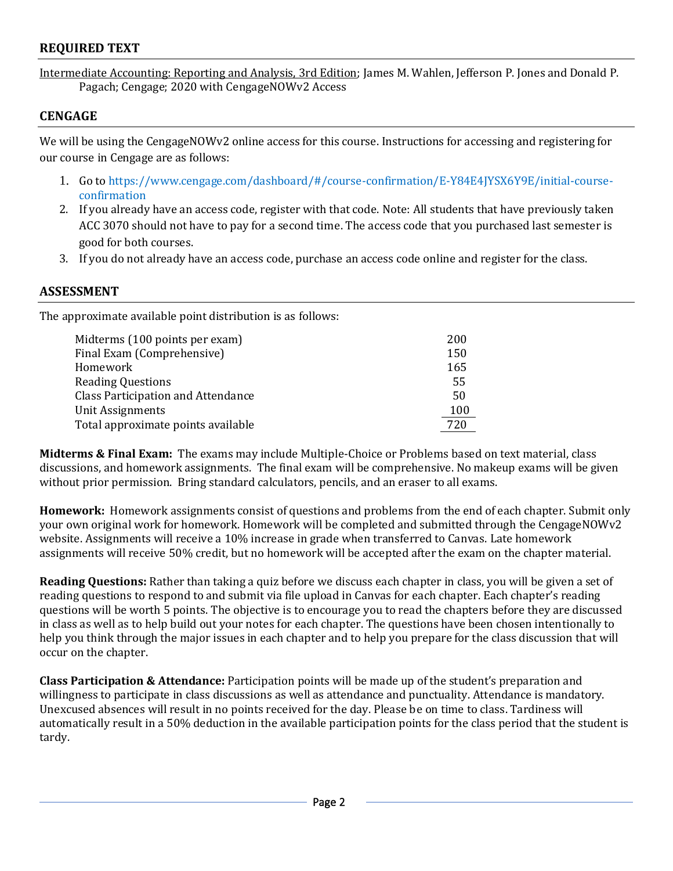### **REQUIRED TEXT**

Intermediate Accounting: Reporting and Analysis, 3rd Edition; James M. Wahlen, Jefferson P. Jones and Donald P. Pagach; Cengage; 2020 with CengageNOWv2 Access

### **CENGAGE**

We will be using the CengageNOWv2 online access for this course. Instructions for accessing and registering for our course in Cengage are as follows:

- 1. Go to https://www.cengage.com/dashboard/#/course-confirmation/E-Y84E4JYSX6Y9E/initial-courseconfirmation
- 2. If you already have an access code, register with that code. Note: All students that have previously taken ACC 3070 should not have to pay for a second time. The access code that you purchased last semester is good for both courses.
- 3. If you do not already have an access code, purchase an access code online and register for the class.

#### **ASSESSMENT**

The approximate available point distribution is as follows:

| Midterms (100 points per exam)            | 200 |
|-------------------------------------------|-----|
| Final Exam (Comprehensive)                | 150 |
| Homework                                  | 165 |
| <b>Reading Questions</b>                  | 55  |
| <b>Class Participation and Attendance</b> | 50  |
| Unit Assignments                          | 100 |
| Total approximate points available        | 720 |

**Midterms & Final Exam:** The exams may include Multiple-Choice or Problems based on text material, class discussions, and homework assignments. The final exam will be comprehensive. No makeup exams will be given without prior permission.Bring standard calculators, pencils, and an eraser to all exams.

**Homework:** Homework assignments consist of questions and problems from the end of each chapter. Submit only your own original work for homework. Homework will be completed and submitted through the CengageNOWv2 website. Assignments will receive a 10% increase in grade when transferred to Canvas. Late homework assignments will receive 50% credit, but no homework will be accepted after the exam on the chapter material.

**Reading Questions:** Rather than taking a quiz before we discuss each chapter in class, you will be given a set of reading questions to respond to and submit via file upload in Canvas for each chapter. Each chapter's reading questions will be worth 5 points. The objective is to encourage you to read the chapters before they are discussed in class as well as to help build out your notes for each chapter. The questions have been chosen intentionally to help you think through the major issues in each chapter and to help you prepare for the class discussion that will occur on the chapter.

**Class Participation & Attendance:** Participation points will be made up of the student's preparation and willingness to participate in class discussions as well as attendance and punctuality. Attendance is mandatory. Unexcused absences will result in no points received for the day. Please be on time to class. Tardiness will automatically result in a 50% deduction in the available participation points for the class period that the student is tardy.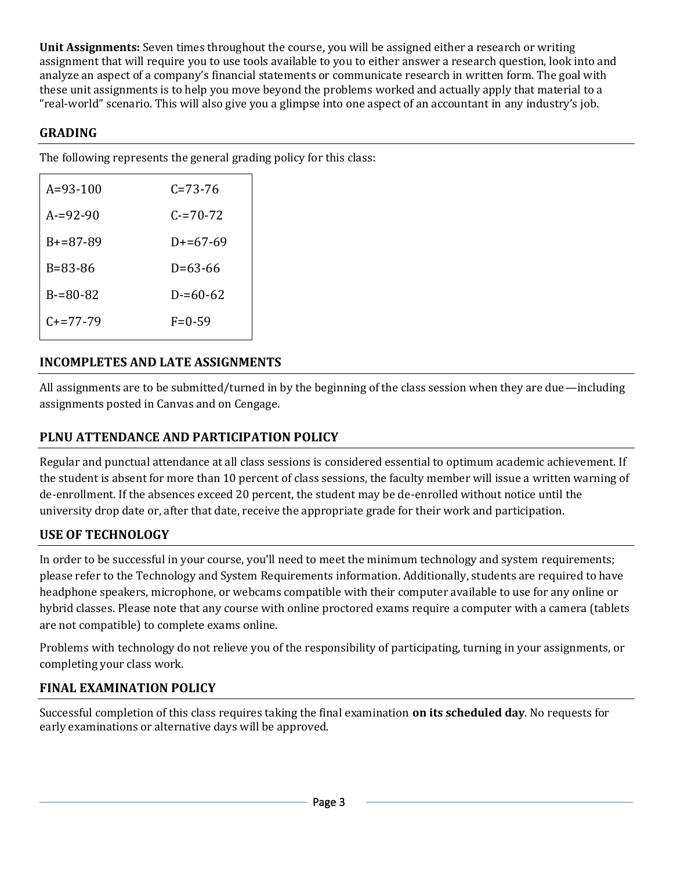**Unit Assignments:** Seven times throughout the course, you will be assigned either a research or writing assignment that will require you to use tools available to you to either answer a research question, look into and analyze an aspect of a company's financial statements or communicate research in written form. The goal with these unit assignments is to help you move beyond the problems worked and actually apply that material to a "real-world" scenario. This will also give you a glimpse into one aspect of an accountant in any industry's job.

## **GRADING**

The following represents the general grading policy for this class:

| $A = 93 - 100$  | C=73-76       |
|-----------------|---------------|
| $A = 92 - 90$   | $C = 70 - 72$ |
| $B + = 87 - 89$ | $D+=67-69$    |
| B=83-86         | D=63-66       |
| $B = 80 - 82$   | $D = 60 - 62$ |
| $C_{+}=77-79$   | $F = 0 - 59$  |
|                 |               |

# **INCOMPLETES AND LATE ASSIGNMENTS**

All assignments are to be submitted/turned in by the beginning of the class session when they are due—including assignments posted in Canvas and on Cengage.

# **PLNU ATTENDANCE AND PARTICIPATION POLICY**

Regular and punctual attendance at all class sessions is considered essential to optimum academic achievement. If the student is absent for more than 10 percent of class sessions, the faculty member will issue a written warning of de-enrollment. If the absences exceed 20 percent, the student may be de-enrolled without notice until the university drop date or, after that date, receive the appropriate grade for their work and participation.

# **USE OF TECHNOLOGY**

In order to be successful in your course, you'll need to meet the minimum technology and system requirements; please refer to the [Technology and System Requirements i](https://help.pointloma.edu/TDClient/1808/Portal/KB/ArticleDet?ID=108349)nformation. Additionally, students are required to have headphone speakers, microphone, or webcams compatible with their computer available to use for any online or hybrid classes. Please note that any course with online proctored exams require a computer with a camera (tablets are not compatible) to complete exams online.

Problems with technology do not relieve you of the responsibility of participating, turning in your assignments, or completing your class work.

### **FINAL EXAMINATION POLICY**

Successful completion of this class requires taking the final examination **on its scheduled day**. No requests for early examinations or alternative days will be approved.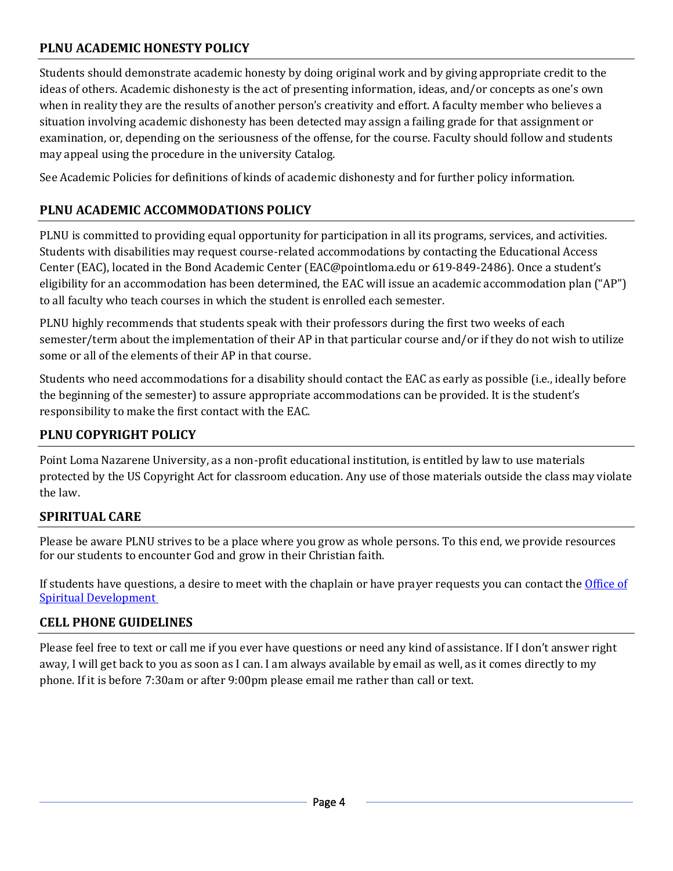# **PLNU ACADEMIC HONESTY POLICY**

Students should demonstrate academic honesty by doing original work and by giving appropriate credit to the ideas of others. Academic dishonesty is the act of presenting information, ideas, and/or concepts as one's own when in reality they are the results of another person's creativity and effort. A faculty member who believes a situation involving academic dishonesty has been detected may assign a failing grade for that assignment or examination, or, depending on the seriousness of the offense, for the course. Faculty should follow and students may appeal using the procedure in the university Catalog.

Se[e Academic Policies](https://catalog.pointloma.edu/content.php?catoid=52&navoid=2919#Academic_Honesty) for definitions of kinds of academic dishonesty and for further policy information.

## **PLNU ACADEMIC ACCOMMODATIONS POLICY**

PLNU is committed to providing equal opportunity for participation in all its programs, services, and activities. Students with disabilities may request course-related accommodations by contacting the Educational Access Center (EAC), located in the Bond Academic Center [\(EAC@pointloma.edu](mailto:EAC@pointloma.edu) or 619-849-2486). Once a student's eligibility for an accommodation has been determined, the EAC will issue an academic accommodation plan ("AP") to all faculty who teach courses in which the student is enrolled each semester.

PLNU highly recommends that students speak with their professors during the first two weeks of each semester/term about the implementation of their AP in that particular course and/or if they do not wish to utilize some or all of the elements of their AP in that course.

Students who need accommodations for a disability should contact the EAC as early as possible (i.e., ideally before the beginning of the semester) to assure appropriate accommodations can be provided. It is the student's responsibility to make the first contact with the EAC.

### **PLNU COPYRIGHT POLICY**

Point Loma Nazarene University, as a non-profit educational institution, is entitled by law to use materials protected by the US Copyright Act for classroom education. Any use of those materials outside the class may violate the law.

### **SPIRITUAL CARE**

Please be aware PLNU strives to be a place where you grow as whole persons. To this end, we provide resources for our students to encounter God and grow in their Christian faith.

If students have questions, a desire to meet with the chaplain or have prayer requests you can contact the [Office of](https://www.pointloma.edu/offices/spiritual-development)  [Spiritual Development](https://www.pointloma.edu/offices/spiritual-development)

#### **CELL PHONE GUIDELINES**

Please feel free to text or call me if you ever have questions or need any kind of assistance. If I don't answer right away, I will get back to you as soon as I can. I am always available by email as well, as it comes directly to my phone. If it is before 7:30am or after 9:00pm please email me rather than call or text.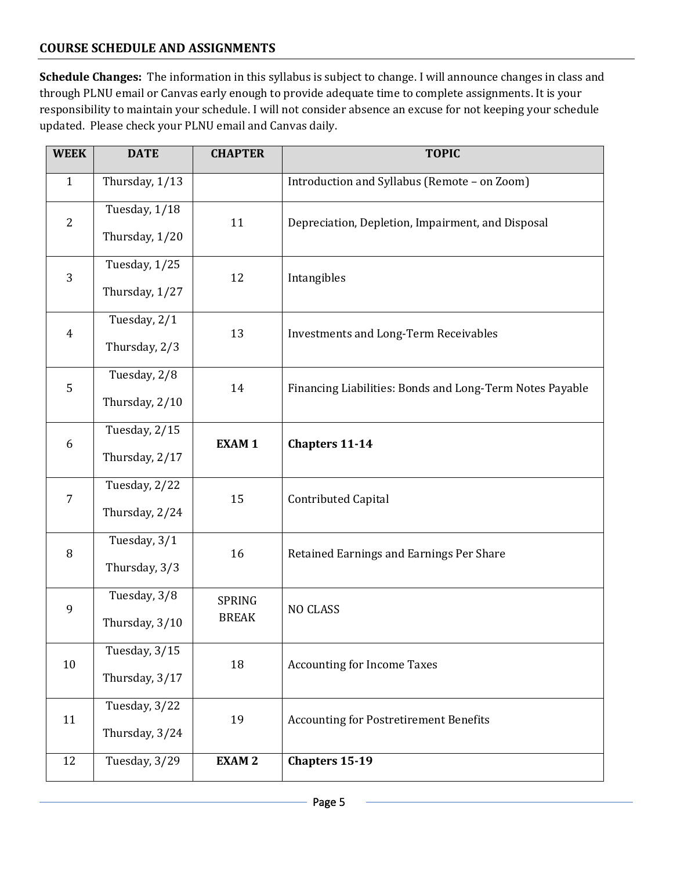### **COURSE SCHEDULE AND ASSIGNMENTS**

**Schedule Changes:** The information in this syllabus is subject to change. I will announce changes in class and through PLNU email or Canvas early enough to provide adequate time to complete assignments. It is your responsibility to maintain your schedule. I will not consider absence an excuse for not keeping your schedule updated. Please check your PLNU email and Canvas daily.

| <b>WEEK</b>    | <b>DATE</b>                     | <b>CHAPTER</b>         | <b>TOPIC</b>                                             |
|----------------|---------------------------------|------------------------|----------------------------------------------------------|
| $\mathbf{1}$   | Thursday, 1/13                  |                        | Introduction and Syllabus (Remote - on Zoom)             |
| $\overline{2}$ | Tuesday, 1/18<br>Thursday, 1/20 | 11                     | Depreciation, Depletion, Impairment, and Disposal        |
| 3              | Tuesday, 1/25<br>Thursday, 1/27 | 12                     | Intangibles                                              |
| $\overline{4}$ | Tuesday, 2/1<br>Thursday, 2/3   | 13                     | <b>Investments and Long-Term Receivables</b>             |
| 5              | Tuesday, 2/8<br>Thursday, 2/10  | 14                     | Financing Liabilities: Bonds and Long-Term Notes Payable |
| 6              | Tuesday, 2/15<br>Thursday, 2/17 | <b>EXAM1</b>           | <b>Chapters 11-14</b>                                    |
| $\overline{7}$ | Tuesday, 2/22<br>Thursday, 2/24 | 15                     | <b>Contributed Capital</b>                               |
| 8              | Tuesday, 3/1<br>Thursday, 3/3   | 16                     | Retained Earnings and Earnings Per Share                 |
| $\mathbf{9}$   | Tuesday, 3/8<br>Thursday, 3/10  | SPRING<br><b>BREAK</b> | <b>NO CLASS</b>                                          |
| 10             | Tuesday, 3/15<br>Thursday, 3/17 | 18                     | <b>Accounting for Income Taxes</b>                       |
| 11             | Tuesday, 3/22<br>Thursday, 3/24 | 19                     | <b>Accounting for Postretirement Benefits</b>            |
| 12             | Tuesday, 3/29                   | <b>EXAM2</b>           | <b>Chapters 15-19</b>                                    |